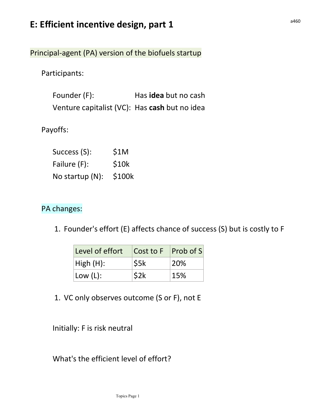## E: Efficient incentive design, part 1

Principal-agent (PA) version of the biofuels startup

Participants:

Founder (F): Has idea but no cash Venture capitalist (VC): Has cash but no idea

Payoffs:

| Success (S):                 | S <sub>1</sub> M |
|------------------------------|------------------|
| Failure (F):                 | S10k             |
| No startup $(N)$ : \$100 $k$ |                  |

## PA changes:

1. Founder's effort (E) affects chance of success (S) but is costly to F

| Level of effort $ Cost to F $ Prob of S |      |     |
|-----------------------------------------|------|-----|
| High(H):                                | \$5k | 20% |
| $ $ Low (L):                            | \$2k | 15% |

1. VC only observes outcome (S or F), not E

Initially: F is risk neutral

What's the efficient level of effort?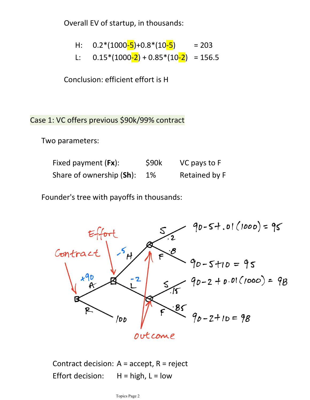Overall EV of startup, in thousands:

H: 
$$
0.2*(1000-5)+0.8*(10-5)
$$
 = 203  
L:  $0.15*(1000-2) + 0.85*(10-2) = 156.5$ 

Conclusion: efficient effort is H

Case 1: VC offers previous \$90k/99% contract

Two parameters:

Fixed payment (Fx):  $\frac{1}{2}$  \$90k VC pays to F Share of ownership (Sh): 1% Retained by F

Founder's tree with payoffs in thousands:



Contract decision:  $A = accept, R = reject$ Effort decision:  $H = high$ ,  $L = low$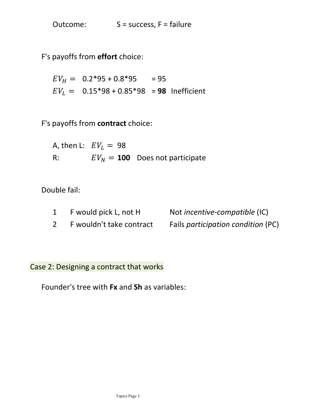Outcome: S = success, F = failure

F's payoffs from effort choice:

 $EV_H = 0.2*95 + 0.8*95 = 95$  $EV_L = 0.15*98 + 0.85*98 = 98$  Inefficient

F's payoffs from contract choice:

A, then L:  $EV_L = 98$ R:  $EV_N = 100$  Does not participate

Double fail:

| F would pick L, not H    | Not incentive-compatible (IC)      |
|--------------------------|------------------------------------|
| F wouldn't take contract | Fails participation condition (PC) |

Case 2: Designing a contract that works

Founder's tree with Fx and Sh as variables: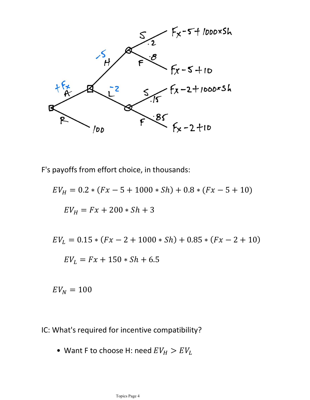

F's payoffs from effort choice, in thousands:

$$
EV_{H} = 0.2 * (Fx - 5 + 1000 * Sh) + 0.8 * (Fx - 5 + 10)
$$
  
\n
$$
EV_{H} = Fx + 200 * Sh + 3
$$
  
\n
$$
EV_{L} = 0.15 * (Fx - 2 + 1000 * Sh) + 0.85 * (Fx - 2 + 10)
$$
  
\n
$$
EV_{L} = Fx + 150 * Sh + 6.5
$$

 $EV_N = 100$ 

IC: What's required for incentive compatibility?

• Want F to choose H: need  $EV_H > EV_L$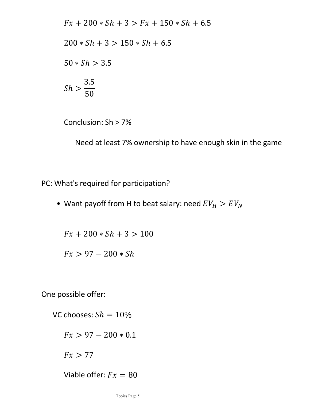$$
Fx + 200 * Sh + 3 > Fx + 150 * Sh + 6.5
$$
  
200 \* Sh + 3 > 150 \* Sh + 6.5  
50 \* Sh > 3.5  

$$
Sh > \frac{3.5}{50}
$$

Conclusion: Sh > 7%

Need at least 7% ownership to have enough skin in the game

PC: What's required for participation?

• Want payoff from H to beat salary: need  $EV_H > EV_N$ 

 $Fx + 200 * Sh + 3 > 100$ 

 $Fx > 97 - 200 * Sh$ 

One possible offer:

VC chooses:  $Sh = 10\%$  $Fx > 97 - 200 * 0.1$ 

 $Fx > 77$ 

Viable offer:  $Fx = 80$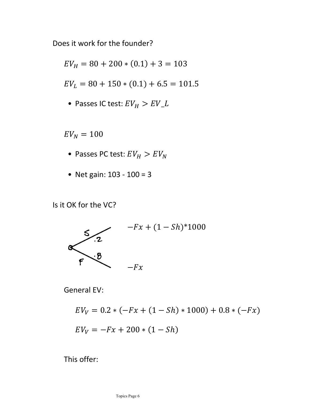Does it work for the founder?

$$
EV_{H} = 80 + 200 * (0.1) + 3 = 103
$$
  
\n
$$
EV_{L} = 80 + 150 * (0.1) + 6.5 = 101.5
$$
  
\n• Passes IC test:  $EV_{H} > EV_{L}$   
\n
$$
EV_{N} = 100
$$
  
\n• Passes PC test:  $EV_{H} > EV_{N}$   
\n• Net gain: 103 - 100 = 3  
\nt OK for the VC?

• Passes IC test:  $EV_H > EV_L$ 

 $EV_N = 100$ 

- Passes PC test:  $EV_H > EV_N$
- 

Is it OK for the VC?



General EV:

$$
EV_V = 0.2 * (-Fx + (1 - Sh) * 1000) + 0.8 * (-Fx)
$$
  

$$
EV_V = -Fx + 200 * (1 - Sh)
$$

This offer: